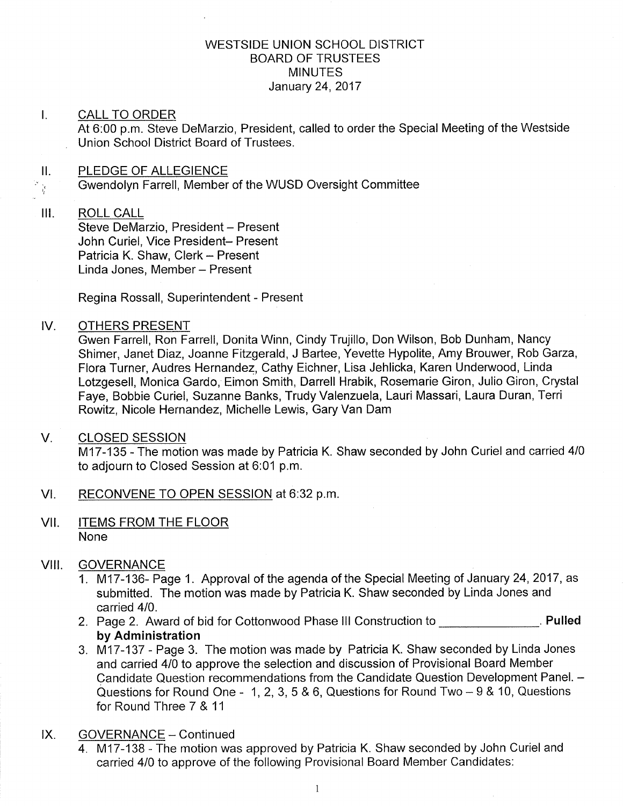## WESTSIDE UNION SCHOOL DISTRICT BOARD OF TRUSTEES MINUTES January 24,2017

### I. CALL TO ORDER

At 6:00 p.m. Steve DeMarzio, President, called to order the Special Meeting of the Westside Union School District Board of Trustees.

# II. PLEDGE OF ALLEGIENCE  $\mathcal{P}_{\frac{\lambda}{2}}$

Gwendolyn Farrell, Member of the WUSD Oversight Committee

#### $III.$ ROLL CALL

Steve DeMarzio, President - Present John Curiel, Vice President- Present Patricia K. Shaw, Clerk - Present Linda Jones, Member - Present

Regina Rossall, Superintendent - Present

#### IV OTHERS PRESENT

Gwen Farrell, Ron Farrell, Donita Winn, Cindy Trujillo, Don Wilson, Bob Dunham, Nancy Shimer, Janet Diaz, Joanne Fitzgerald, J Bartee, Yevette Hypolite, Amy Brouwer, Rob Garza, Flora Turner, Audres Hernandez, Cathy Eichner, Lisa Jehlicka, Karen Underwood, Linda Lotzgesell, Monica Gardo, Eimon Smith, Darrell Hrabik, Rosemarie Giron, Julio Giron, Crystal Faye, Bobbie Curiel, Suzanne Banks, Trudy Valenzuela, Lauri Massari, Laura Duran, Terri Rowitz, Nicole Hernandez, Michelle Lewis, Gary Van Dam

### V. CLOSED SESSION

M17-135 - The motion was made by Patricia K. Shaw seconded by John Curiel and carried 4/0 to adjourn to Closed Session at 6:01 p.m.

- Vl. RECONVENE TO OPEN SESSION at 6:32 p.m
- VII. ITEMS FROM THE FLOOR None

### VIII. GOVERNANCE

- 1. M17-136- Page 1. Approval of the agenda of the Special Meeting of January 24, 2017, as submitted. The motion was made by Patricia K. Shaw seconded by Linda Jones and carried 410.
- 2. Page 2. Award of bid for Cottonwood Phase III Construction to **Construction**. Pulled by Administration
- 3. M17-137 Page 3. The motion was made by Patricia K. Shaw seconded by Linda Jones and carried 410 to approve the selection and discussion of Provisional Board Member Candidate Question recommendations from the Candidate Question Development Panel. -Questions for Round One - 1, 2, 3, 5 & 6, Questions for Round Two  $-9$  & 10, Questions for Round Three 7 & <sup>11</sup>
- IX
	- GOVERNANCE Continued<br>4. fM17-138 The motion was approved by Patricia K. Shaw seconded by John Curiel and carried 410 to approve of the following Provisional Board Member Candidates: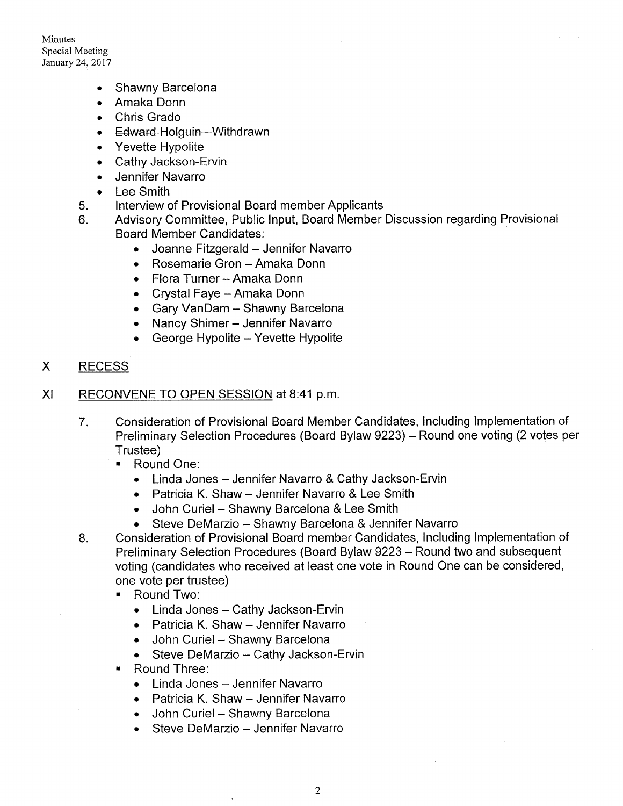Minutes Special Meeting January 24,2017

- Shawny Barcelona
- . Amaka Donn
- . Chris Grado
- Edward Holguin-Withdrawn
- . Yevette Hypolite
- . Cathy Jackson-Ervin
- . Jennifer Navarro
- . Lee Smith
- 5 lnterview of Provisional Board member Applicants
- 6 Advisory Committee, Public lnput, Board Member Discussion regarding Provisional Board Member Candidates:
	- Joanne Fitzgerald Jennifer Navarro
	- Rosemarie Gron Amaka Donn
	- Flora Turner Amaka Donn
	- Crystal Faye Amaka Donn
	- Gary VanDam Shawny Barcelona
	- Nancy Shimer Jennifer Navarro
	- $\bullet$  George Hypolite Yevette Hypolite
- RECESS X
- RECONVENE TO OPEN SESSION at 8:41 p.m. XI
	- Consideration of Provisional Board Member Candidates, lncluding lmplementation of Preliminary Selection Procedures (Board Bylaw 9223) - Round one voting (2 votes per Trustee) 7
		- . Round One:
			- . Linda Jones Jennifer Navarro & Cathy Jackson-Ervin
			- Patricia K. Shaw Jennifer Navarro & Lee Smith
			- John Curiel Shawny Barcelona & Lee Smith
			- Steve DeMarzio Shawny Barcelona & Jennifer Navarro
	- Consideration of Provisional Board member Candidates, lncluding lmplementation of Preliminary Selection Procedures (Board Bylaw 9223 – Round two and subsequent voting (candidates who received at least one vote in Round One can be considered, one vote per trustee)  $8<sub>1</sub>$ 
		- . Round Two:
			- Linda Jones Cathy Jackson-Ervin
			- Patricia K. Shaw Jennifer Navarro
			- John Curiel Shawny Barcelona
			- Steve DeMarzio Cathy Jackson-Ervin
		- ' Round Three:
			- Linda Jones Jennifer Navarro
			- Patricia K. Shaw Jennifer Navarro
			- John Curiel Shawny Barcelona
			- Steve DeMarzio Jennifer Navarro